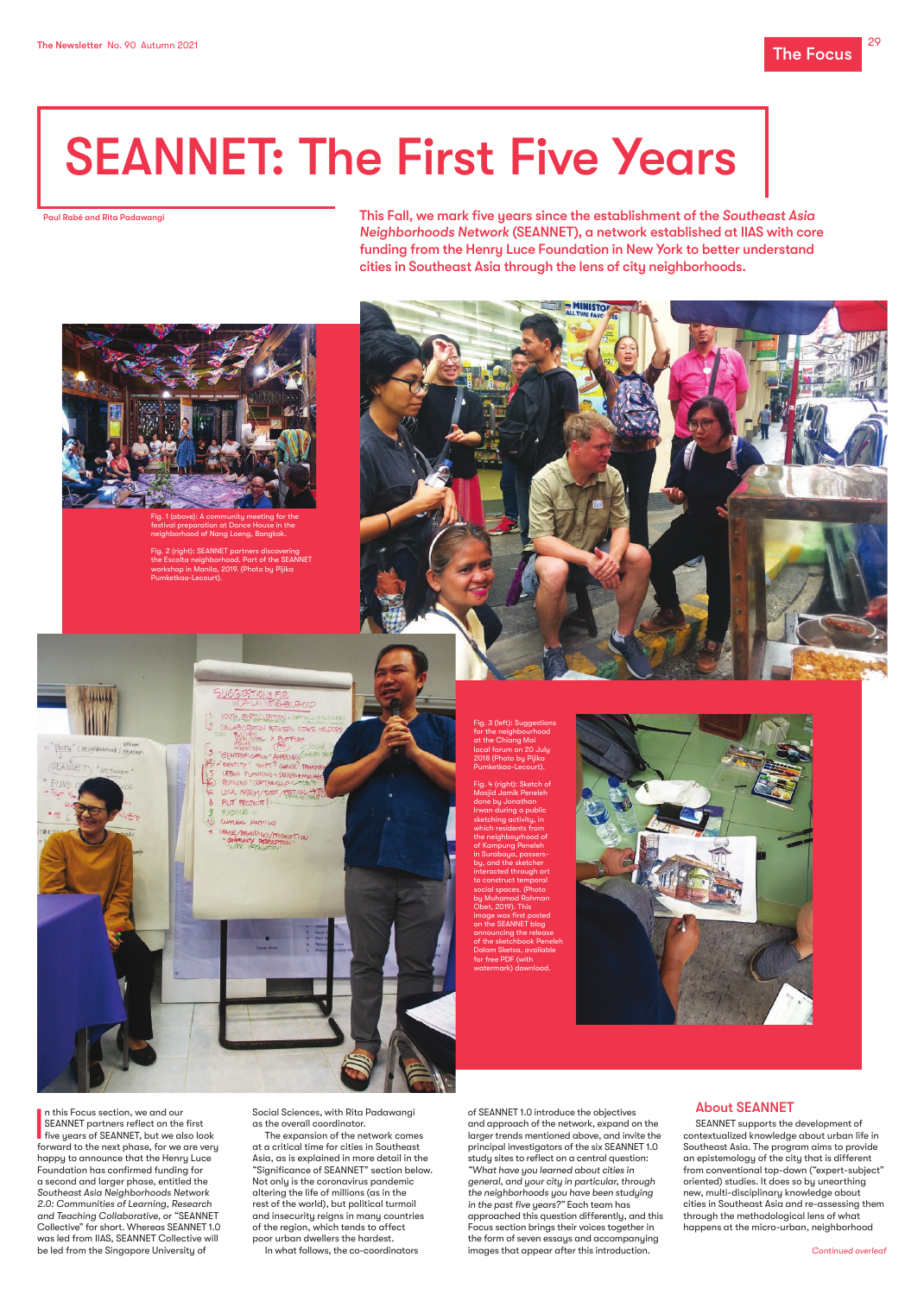In this Focus section, we and our<br>SEANNET partners reflect on the first<br>five years of SEANNET, but we also look<br>forward to the next hands for we are very n this Focus section, we and our **SEANNET** partners reflect on the first forward to the next phase, for we are very happy to announce that the Henry Luce Foundation has confirmed funding for a second and larger phase, entitled the *Southeast Asia Neighborhoods Network 2.0: Communities of Learning, Research and Teaching Collaborative,* or "SEANNET Collective" for short. Whereas SEANNET 1.0 was led from IIAS, SEANNET Collective will be led from the Singapore University of

Social Sciences, with Rita Padawangi as the overall coordinator.

The expansion of the network comes at a critical time for cities in Southeast Asia, as is explained in more detail in the "Significance of SEANNET" section below. Not only is the coronavirus pandemic altering the life of millions (as in the rest of the world), but political turmoil and insecurity reigns in many countries of the region, which tends to affect poor urban dwellers the hardest. In what follows, the co-coordinators

Fig. 2 (right): SEANNET partners discovering the Escolta neighborhood. Part of the SEANNET workshop in Manila, 2019. (Photo by Pijika nketkao-Lecourt).





of SEANNET 1.0 introduce the objectives and approach of the network, expand on the larger trends mentioned above, and invite the principal investigators of the six SEANNET 1.0 study sites to reflect on a central question: *"What have you learned about cities in general, and your city in particular, through the neighborhoods you have been studying in the past five years?"* Each team has approached this question differently, and this Focus section brings their voices together in the form of seven essays and accompanying images that appear after this introduction.

#### About SEANNET

SEANNET supports the development of contextualized knowledge about urban life in Southeast Asia. The program aims to provide an epistemology of the city that is different from conventional top-down ("expert-subject" oriented) studies. It does so by unearthing new, multi-disciplinary knowledge about cities in Southeast Asia and re-assessing them through the methodological lens of what happens at the micro-urban, neighborhood

# SEANNET: The First Five Years

*Continued overleaf*

This Fall, we mark five years since the establishment of the *Southeast Asia Neighborhoods Network* (SEANNET), a network established at IIAS with core funding from the Henry Luce Foundation in New York to better understand cities in Southeast Asia through the lens of city neighborhoods.



Paul Rabé and Rita Padawangi

Fig. 1 (above): A community meeting for the estival preparation at Dance House in the neighborhood of Nang Loeng, Bangkok.

> Fig. 3 (left): Suggestions for the neighbourhood at the Chiang Mai local forum on 20 July 2018 (Photo by Pijika Pumketkao-Lecourt).

Fig. 4 (right): Sketch of Masjid Jamik Peneleh done by Jonathan Irwan during a public sketching activity, in which residents from he neighboyrhood of of Kampung Peneleh in Surabaya, passersou, and the sketcher eracted through ar to construct temporal al spaces. (Photo by Muhamad Rohman Obet, 2019). This mage was first posted on the SEANNET blog ancing the release of the sketchbook Pene Dalam Sketsa, availa for free PDF (with watermark) download.





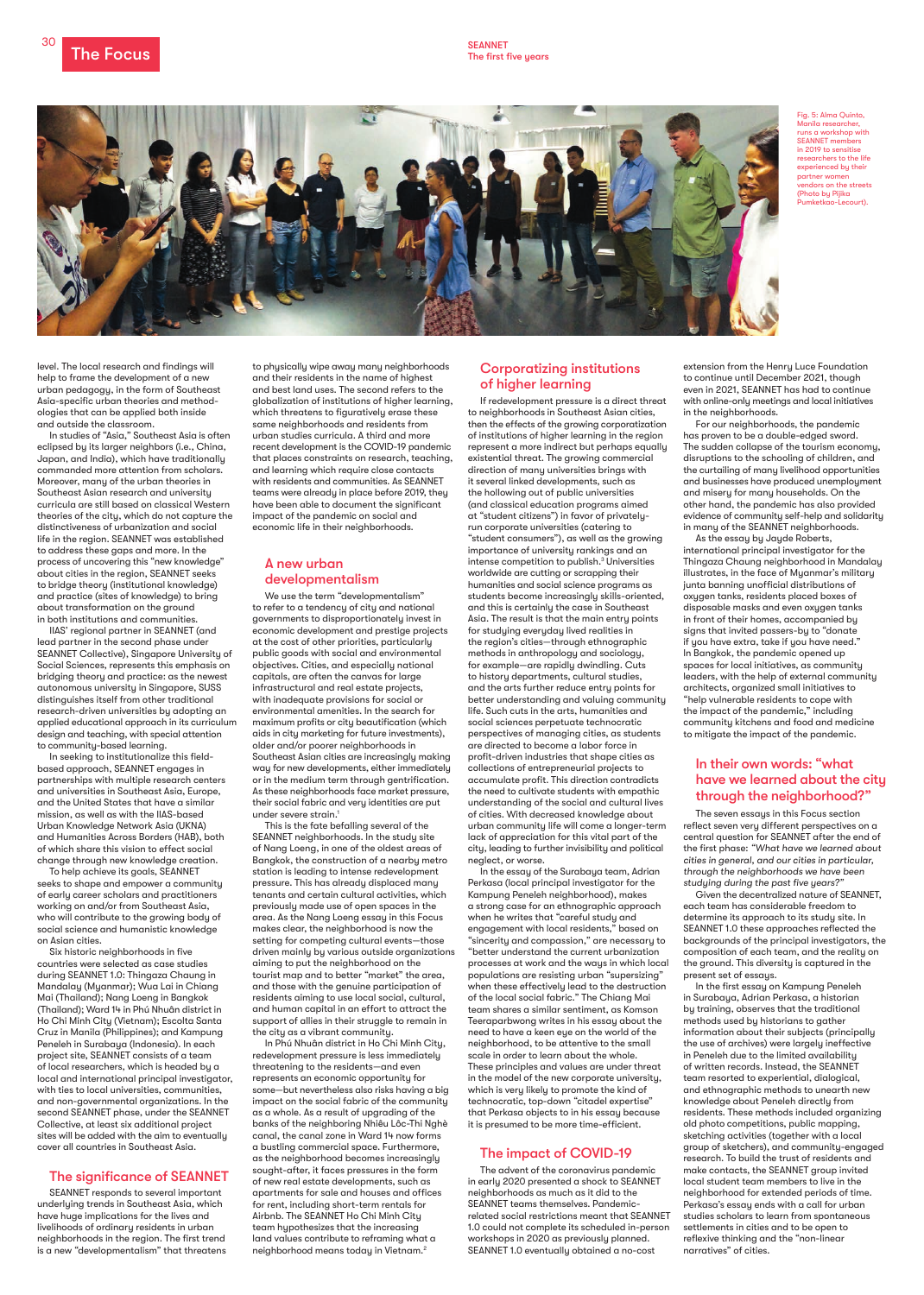The Focus SEANNET SEANNET SEANNET

30



extension from the Henry Luce Foundation to continue until December 2021, though even in 2021, SEANNET has had to continue with online-only meetings and local initiatives in the neighborhoods.

For our neighborhoods, the pandemic has proven to be a double-edged sword. The sudden collapse of the tourism economy, disruptions to the schooling of children, and the curtailing of many livelihood opportunities and businesses have produced unemployment and misery for many households. On the other hand, the pandemic has also provided evidence of community self-help and solidarity in many of the SEANNET neighborhoods.

As the essay by Jayde Roberts, international principal investigator for the Thingaza Chaung neighborhood in Mandalay illustrates, in the face of Myanmar's military junta banning unofficial distributions of oxygen tanks, residents placed boxes of disposable masks and even oxygen tanks in front of their homes, accompanied by signs that invited passers-by to "donate if you have extra, take if you have need." In Bangkok, the pandemic opened up spaces for local initiatives, as community leaders, with the help of external community architects, organized small initiatives to "help vulnerable residents to cope with the impact of the pandemic," including community kitchens and food and medicine to mitigate the impact of the pandemic.

### In their own words: "what have we learned about the city through the neighborhood?"

The seven essays in this Focus section reflect seven very different perspectives on a central question for SEANNET after the end of the first phase: *"What have we learned about cities in general, and our cities in particular, through the neighborhoods we have been studying during the past five years?"* 

Given the decentralized nature of SEANNET, each team has considerable freedom to determine its approach to its study site. In SEANNET 1.0 these approaches reflected the backgrounds of the principal investigators, the composition of each team, and the reality on the ground. This diversity is captured in the present set of essays.

In the first essay on Kampung Peneleh in Surabaya, Adrian Perkasa, a historian by training, observes that the traditional methods used by historians to gather information about their subjects (principally the use of archives) were largely ineffective in Peneleh due to the limited availability of written records. Instead, the SEANNET team resorted to experiential, dialogical, and ethnographic methods to unearth new knowledge about Peneleh directly from residents. These methods included organizing old photo competitions, public mapping, sketching activities (together with a local group of sketchers), and community-engaged research. To build the trust of residents and make contacts, the SEANNET group invited local student team members to live in the neighborhood for extended periods of time. Perkasa's essay ends with a call for urban studies scholars to learn from spontaneous settlements in cities and to be open to reflexive thinking and the "non-linear narratives" of cities.

level. The local research and findings will help to frame the development of a new urban pedagogy, in the form of Southeast Asia-specific urban theories and methodologies that can be applied both inside and outside the classroom.

> We use the term "developmentalism" to refer to a tendency of city and national governments to disproportionately invest in economic development and prestige projects at the cost of other priorities, particularly public goods with social and environmental objectives. Cities, and especially national capitals, are often the canvas for large infrastructural and real estate projects, with inadequate provisions for social or environmental amenities. In the search for maximum profits or city beautification (which aids in city marketing for future investments), older and/or poorer neighborhoods in Southeast Asian cities are increasingly making way for new developments, either immediately or in the medium term through gentrification. As these neighborhoods face market pressure, their social fabric and very identities are put under severe strain.<sup>1</sup>

In studies of "Asia," Southeast Asia is often eclipsed by its larger neighbors (i.e., China, Japan, and India), which have traditionally commanded more attention from scholars. Moreover, many of the urban theories in Southeast Asian research and university curricula are still based on classical Western theories of the city, which do not capture the distinctiveness of urbanization and social life in the region. SEANNET was established to address these gaps and more. In the process of uncovering this "new knowledge" about cities in the region, SEANNET seeks to bridge theory (institutional knowledge) and practice (sites of knowledge) to bring about transformation on the ground in both institutions and communities.

IIAS' regional partner in SEANNET (and lead partner in the second phase under SEANNET Collective), Singapore University of Social Sciences, represents this emphasis on bridging theory and practice: as the newest autonomous university in Singapore, SUSS distinguishes itself from other traditional research-driven universities by adopting an applied educational approach in its curriculum design and teaching, with special attention to community-based learning.

In seeking to institutionalize this fieldbased approach, SEANNET engages in partnerships with multiple research centers and universities in Southeast Asia, Europe, and the United States that have a similar mission, as well as with the IIAS-based Urban Knowledge Network Asia (UKNA) and Humanities Across Borders (HAB), both of which share this vision to effect social change through new knowledge creation.

To help achieve its goals, SEANNET seeks to shape and empower a community of early career scholars and practitioners working on and/or from Southeast Asia, who will contribute to the growing body of social science and humanistic knowledge on Asian cities.

Six historic neighborhoods in five countries were selected as case studies during SEANNET 1.0: Thingaza Chaung in Mandalay (Myanmar); Wua Lai in Chiang Mai (Thailand); Nang Loeng in Bangkok (Thailand); Ward 14 in Phú Nhuân district in Ho Chi Minh City (Vietnam); Escolta Santa Cruz in Manila (Philippines); and Kampung Peneleh in Surabaya (Indonesia). In each project site, SEANNET consists of a team of local researchers, which is headed by a local and international principal investigator, with ties to local universities, communities, and non-governmental organizations. In the second SEANNET phase, under the SEANNET Collective, at least six additional project sites will be added with the aim to eventually cover all countries in Southeast Asia.

#### The significance of SEANNET

SEANNET responds to several important underlying trends in Southeast Asia, which have huge implications for the lives and livelihoods of ordinary residents in urban neighborhoods in the region. The first trend is a new "developmentalism" that threatens

to physically wipe away many neighborhoods and their residents in the name of highest and best land uses. The second refers to the globalization of institutions of higher learning, which threatens to figuratively erase these same neighborhoods and residents from urban studies curricula. A third and more recent development is the COVID-19 pandemic that places constraints on research, teaching, and learning which require close contacts with residents and communities. As SEANNET teams were already in place before 2019, they have been able to document the significant impact of the pandemic on social and economic life in their neighborhoods.

### A new urban developmentalism

This is the fate befalling several of the SEANNET neighborhoods. In the study site of Nang Loeng, in one of the oldest areas of Bangkok, the construction of a nearby metro station is leading to intense redevelopment pressure. This has already displaced many tenants and certain cultural activities, which previously made use of open spaces in the area. As the Nang Loeng essay in this Focus makes clear, the neighborhood is now the setting for competing cultural events—those driven mainly by various outside organizations aiming to put the neighborhood on the tourist map and to better "market" the area, and those with the genuine participation of residents aiming to use local social, cultural, and human capital in an effort to attract the support of allies in their struggle to remain in the city as a vibrant community. In Phú Nhuân district in Ho Chi Minh City, redevelopment pressure is less immediately threatening to the residents—and even represents an economic opportunity for some—but nevertheless also risks having a big impact on the social fabric of the community as a whole. As a result of upgrading of the banks of the neighboring Nhiêu Lôc-Thi Nghè canal, the canal zone in Ward 14 now forms a bustling commercial space. Furthermore, as the neighborhood becomes increasingly sought-after, it faces pressures in the form of new real estate developments, such as apartments for sale and houses and offices for rent, including short-term rentals for Airbnb. The SEANNET Ho Chi Minh City team hypothesizes that the increasing land values contribute to reframing what a neighborhood means today in Vietnam.2

# Corporatizing institutions of higher learning

If redevelopment pressure is a direct threat to neighborhoods in Southeast Asian cities, then the effects of the growing corporatization of institutions of higher learning in the region represent a more indirect but perhaps equally existential threat. The growing commercial direction of many universities brings with it several linked developments, such as the hollowing out of public universities (and classical education programs aimed at "student citizens") in favor of privatelyrun corporate universities (catering to "student consumers"), as well as the growing importance of university rankings and an intense competition to publish.<sup>3</sup> Universities worldwide are cutting or scrapping their humanities and social science programs as students become increasingly skills-oriented, and this is certainly the case in Southeast Asia. The result is that the main entry points for studying everyday lived realities in the region's cities—through ethnographic methods in anthropology and sociology, for example—are rapidly dwindling. Cuts to history departments, cultural studies, and the arts further reduce entry points for better understanding and valuing community life. Such cuts in the arts, humanities and social sciences perpetuate technocratic perspectives of managing cities, as students are directed to become a labor force in profit-driven industries that shape cities as collections of entrepreneurial projects to accumulate profit. This direction contradicts the need to cultivate students with empathic understanding of the social and cultural lives of cities. With decreased knowledge about urban community life will come a longer-term lack of appreciation for this vital part of the city, leading to further invisibility and political neglect, or worse.

In the essay of the Surabaya team, Adrian Perkasa (local principal investigator for the Kampung Peneleh neighborhood), makes a strong case for an ethnographic approach when he writes that "careful study and engagement with local residents," based on "sincerity and compassion," are necessary to "better understand the current urbanization processes at work and the ways in which local populations are resisting urban "supersizing" when these effectively lead to the destruction of the local social fabric." The Chiang Mai team shares a similar sentiment, as Komson Teeraparbwong writes in his essay about the need to have a keen eye on the world of the neighborhood, to be attentive to the small scale in order to learn about the whole. These principles and values are under threat in the model of the new corporate university, which is very likely to promote the kind of technocratic, top-down "citadel expertise" that Perkasa objects to in his essay because it is presumed to be more time-efficient.

#### The impact of COVID-19

The advent of the coronavirus pandemic in early 2020 presented a shock to SEANNET neighborhoods as much as it did to the SEANNET teams themselves. Pandemicrelated social restrictions meant that SEANNET 1.0 could not complete its scheduled in-person workshops in 2020 as previously planned. SEANNET 1.0 eventually obtained a no-cost